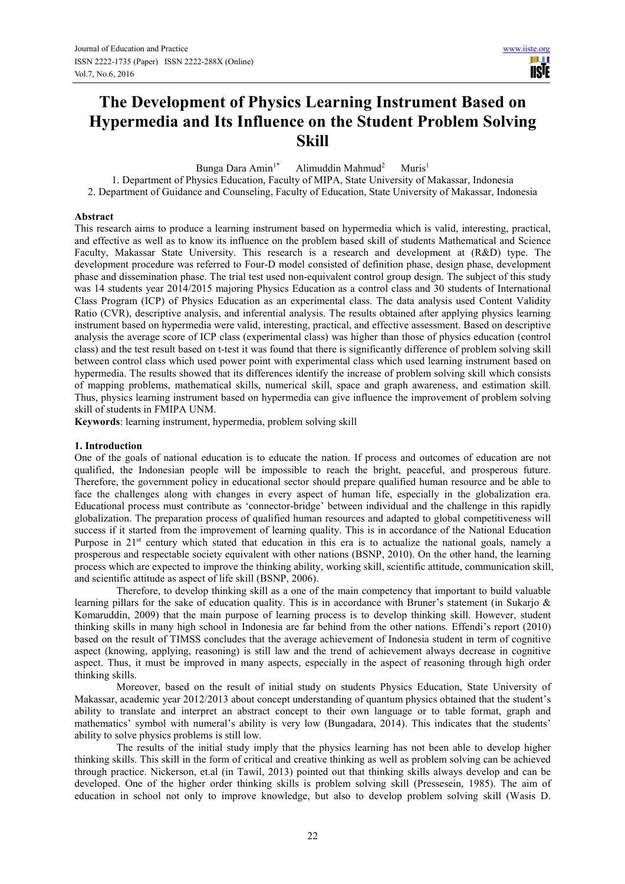# **The Development of Physics Learning Instrument Based on Hypermedia and Its Influence on the Student Problem Solving Skill**

Bunga Dara Amin<sup>1\*</sup> Alimuddin Mahmud<sup>2</sup>  $Muris<sup>1</sup>$ 

1. Department of Physics Education, Faculty of MIPA, State University of Makassar, Indonesia

2. Department of Guidance and Counseling, Faculty of Education, State University of Makassar, Indonesia

## **Abstract**

This research aims to produce a learning instrument based on hypermedia which is valid, interesting, practical, and effective as well as to know its influence on the problem based skill of students Mathematical and Science Faculty, Makassar State University. This research is a research and development at (R&D) type. The development procedure was referred to Four-D model consisted of definition phase, design phase, development phase and dissemination phase. The trial test used non-equivalent control group design. The subject of this study was 14 students year 2014/2015 majoring Physics Education as a control class and 30 students of International Class Program (ICP) of Physics Education as an experimental class. The data analysis used Content Validity Ratio (CVR), descriptive analysis, and inferential analysis. The results obtained after applying physics learning instrument based on hypermedia were valid, interesting, practical, and effective assessment. Based on descriptive analysis the average score of ICP class (experimental class) was higher than those of physics education (control class) and the test result based on t-test it was found that there is significantly difference of problem solving skill between control class which used power point with experimental class which used learning instrument based on hypermedia. The results showed that its differences identify the increase of problem solving skill which consists of mapping problems, mathematical skills, numerical skill, space and graph awareness, and estimation skill. Thus, physics learning instrument based on hypermedia can give influence the improvement of problem solving skill of students in FMIPA UNM.

**Keywords**: learning instrument, hypermedia, problem solving skill

# **1. Introduction**

One of the goals of national education is to educate the nation. If process and outcomes of education are not qualified, the Indonesian people will be impossible to reach the bright, peaceful, and prosperous future. Therefore, the government policy in educational sector should prepare qualified human resource and be able to face the challenges along with changes in every aspect of human life, especially in the globalization era. Educational process must contribute as 'connector-bridge' between individual and the challenge in this rapidly globalization. The preparation process of qualified human resources and adapted to global competitiveness will success if it started from the improvement of learning quality. This is in accordance of the National Education Purpose in 21<sup>st</sup> century which stated that education in this era is to actualize the national goals, namely a prosperous and respectable society equivalent with other nations (BSNP, 2010). On the other hand, the learning process which are expected to improve the thinking ability, working skill, scientific attitude, communication skill, and scientific attitude as aspect of life skill (BSNP, 2006).

Therefore, to develop thinking skill as a one of the main competency that important to build valuable learning pillars for the sake of education quality. This is in accordance with Bruner's statement (in Sukarjo & Komaruddin, 2009) that the main purpose of learning process is to develop thinking skill. However, student thinking skills in many high school in Indonesia are far behind from the other nations. Effendi's report (2010) based on the result of TIMSS concludes that the average achievement of Indonesia student in term of cognitive aspect (knowing, applying, reasoning) is still law and the trend of achievement always decrease in cognitive aspect. Thus, it must be improved in many aspects, especially in the aspect of reasoning through high order thinking skills.

Moreover, based on the result of initial study on students Physics Education, State University of Makassar, academic year 2012/2013 about concept understanding of quantum physics obtained that the student's ability to translate and interpret an abstract concept to their own language or to table format, graph and mathematics' symbol with numeral's ability is very low (Bungadara, 2014). This indicates that the students' ability to solve physics problems is still low.

The results of the initial study imply that the physics learning has not been able to develop higher thinking skills. This skill in the form of critical and creative thinking as well as problem solving can be achieved through practice. Nickerson, et.al (in Tawil, 2013) pointed out that thinking skills always develop and can be developed. One of the higher order thinking skills is problem solving skill (Pressesein, 1985). The aim of education in school not only to improve knowledge, but also to develop problem solving skill (Wasis D.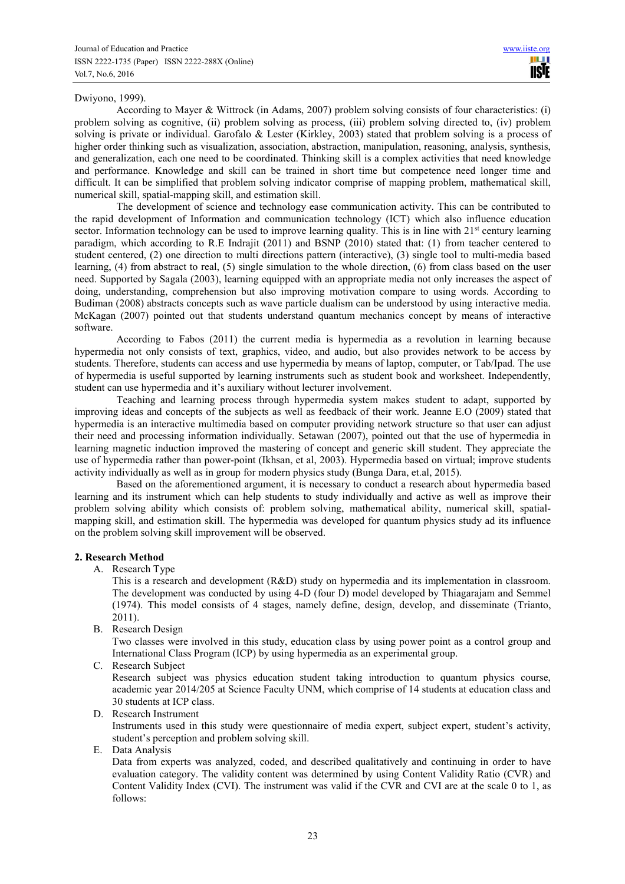## Dwiyono, 1999).

According to Mayer & Wittrock (in Adams, 2007) problem solving consists of four characteristics: (i) problem solving as cognitive, (ii) problem solving as process, (iii) problem solving directed to, (iv) problem solving is private or individual. Garofalo & Lester (Kirkley, 2003) stated that problem solving is a process of higher order thinking such as visualization, association, abstraction, manipulation, reasoning, analysis, synthesis, and generalization, each one need to be coordinated. Thinking skill is a complex activities that need knowledge and performance. Knowledge and skill can be trained in short time but competence need longer time and difficult. It can be simplified that problem solving indicator comprise of mapping problem, mathematical skill, numerical skill, spatial-mapping skill, and estimation skill.

The development of science and technology ease communication activity. This can be contributed to the rapid development of Information and communication technology (ICT) which also influence education sector. Information technology can be used to improve learning quality. This is in line with 21<sup>st</sup> century learning paradigm, which according to R.E Indrajit (2011) and BSNP (2010) stated that: (1) from teacher centered to student centered, (2) one direction to multi directions pattern (interactive), (3) single tool to multi-media based learning, (4) from abstract to real, (5) single simulation to the whole direction, (6) from class based on the user need. Supported by Sagala (2003), learning equipped with an appropriate media not only increases the aspect of doing, understanding, comprehension but also improving motivation compare to using words. According to Budiman (2008) abstracts concepts such as wave particle dualism can be understood by using interactive media. McKagan (2007) pointed out that students understand quantum mechanics concept by means of interactive software.

According to Fabos (2011) the current media is hypermedia as a revolution in learning because hypermedia not only consists of text, graphics, video, and audio, but also provides network to be access by students. Therefore, students can access and use hypermedia by means of laptop, computer, or Tab/Ipad. The use of hypermedia is useful supported by learning instruments such as student book and worksheet. Independently, student can use hypermedia and it's auxiliary without lecturer involvement.

Teaching and learning process through hypermedia system makes student to adapt, supported by improving ideas and concepts of the subjects as well as feedback of their work. Jeanne E.O (2009) stated that hypermedia is an interactive multimedia based on computer providing network structure so that user can adjust their need and processing information individually. Setawan (2007), pointed out that the use of hypermedia in learning magnetic induction improved the mastering of concept and generic skill student. They appreciate the use of hypermedia rather than power-point (Ikhsan, et al, 2003). Hypermedia based on virtual; improve students activity individually as well as in group for modern physics study (Bunga Dara, et.al, 2015).

Based on the aforementioned argument, it is necessary to conduct a research about hypermedia based learning and its instrument which can help students to study individually and active as well as improve their problem solving ability which consists of: problem solving, mathematical ability, numerical skill, spatialmapping skill, and estimation skill. The hypermedia was developed for quantum physics study ad its influence on the problem solving skill improvement will be observed.

## **2. Research Method**

A. Research Type

This is a research and development (R&D) study on hypermedia and its implementation in classroom. The development was conducted by using 4-D (four D) model developed by Thiagarajam and Semmel (1974). This model consists of 4 stages, namely define, design, develop, and disseminate (Trianto, 2011).

B. Research Design

Two classes were involved in this study, education class by using power point as a control group and International Class Program (ICP) by using hypermedia as an experimental group.

C. Research Subject

Research subject was physics education student taking introduction to quantum physics course, academic year 2014/205 at Science Faculty UNM, which comprise of 14 students at education class and 30 students at ICP class.

D. Research Instrument

Instruments used in this study were questionnaire of media expert, subject expert, student's activity, student's perception and problem solving skill.

E. Data Analysis

Data from experts was analyzed, coded, and described qualitatively and continuing in order to have evaluation category. The validity content was determined by using Content Validity Ratio (CVR) and Content Validity Index (CVI). The instrument was valid if the CVR and CVI are at the scale 0 to 1, as follows: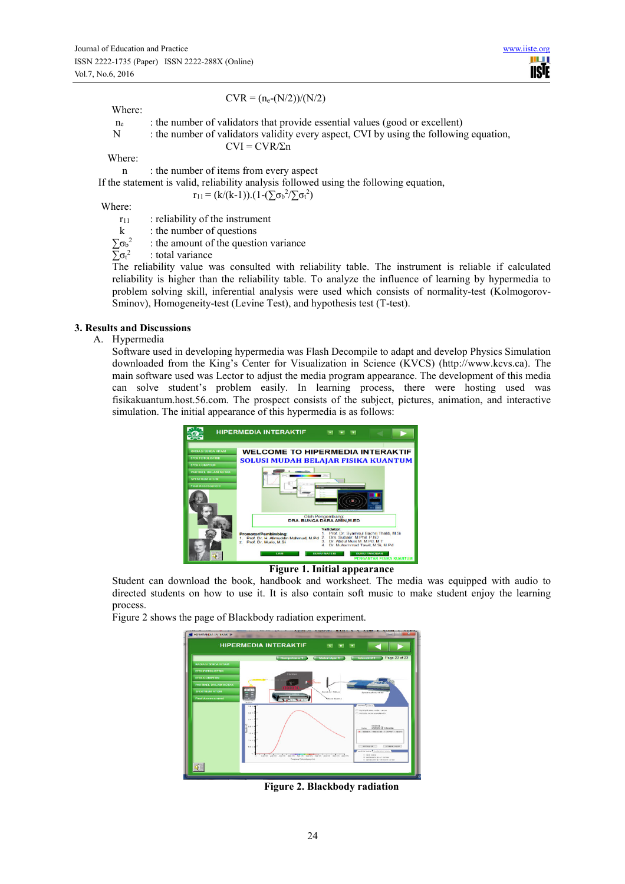#### Where:

# $CVR = (n_e-(N/2))/(N/2)$

 $CVI = CVR/\Sigma n$ 

- $n_e$  : the number of validators that provide essential values (good or excellent)
- N : the number of validators validity every aspect, CVI by using the following equation,

**IISE** 

Where:

n : the number of items from every aspect

If the statement is valid, reliability analysis followed using the following equation,

 $r_{11} = (k/(k-1)) \cdot (1 - (\sum \sigma_b^2 / (\sum \sigma_t^2))$ 

Where:

 $r_{11}$  : reliability of the instrument

 $k$  : the number of questions

 $\sum σ_b^2$ : the amount of the question variance

 $\sum$ σ<sub>t</sub><sup>2</sup> : total variance

> The reliability value was consulted with reliability table. The instrument is reliable if calculated reliability is higher than the reliability table. To analyze the influence of learning by hypermedia to problem solving skill, inferential analysis were used which consists of normality-test (Kolmogorov-Sminov), Homogeneity-test (Levine Test), and hypothesis test (T-test).

# **3. Results and Discussions**

# A. Hypermedia

Software used in developing hypermedia was Flash Decompile to adapt and develop Physics Simulation downloaded from the King's Center for Visualization in Science (KVCS) (http://www.kcvs.ca). The main software used was Lector to adjust the media program appearance. The development of this media can solve student's problem easily. In learning process, there were hosting used was fisikakuantum.host.56.com. The prospect consists of the subject, pictures, animation, and interactive simulation. The initial appearance of this hypermedia is as follows:



**Figure 1. Initial appearance** 

Student can download the book, handbook and worksheet. The media was equipped with audio to directed students on how to use it. It is also contain soft music to make student enjoy the learning process.

Figure 2 shows the page of Blackbody radiation experiment.



**Figure 2. Blackbody radiation**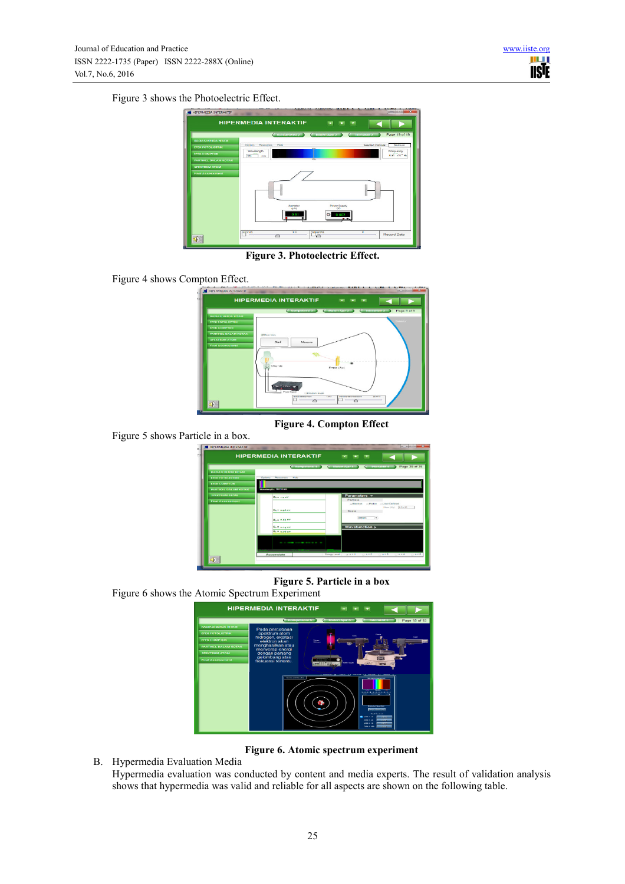Figure 3 shows the Photoelectric Effect.



**Figure 3. Photoelectric Effect.** 

Figure 4 shows Compton Effect.



**Figure 4. Compton Effect** 

Figure 5 shows Particle in a box.

|                                                       | <b>HIPERMEDIA INTERAKTIF</b>         | <b>INCL</b><br>- 1981<br>- 1991                                       |
|-------------------------------------------------------|--------------------------------------|-----------------------------------------------------------------------|
|                                                       | C Rompotensi 4                       | C Materialard 3 C Interakture 3 Page 39 of 39                         |
| <b>RADIASI RENDA HITAM</b><br><b>EFEK FOTOLISTIOK</b> | Resources<br>Octans<br>Hotel         |                                                                       |
| <b>EFEK COMPTON</b>                                   |                                      |                                                                       |
| PARTIKEL DALAM KOTAK                                  | Wavelength: 10414 nm                 |                                                                       |
| <b>БРЕКТЮЛИ АТОМ</b><br><b>Final Associations</b>     | Exp. LiteV                           | Parameters -<br>Particle                                              |
|                                                       | $E_A = 0.96$ ev                      | -Proton - - User Defined<br>- Electron<br>Mass (Kg) [9.1e-31<br>Scale |
|                                                       | Business ev-                         | $\overline{1}$<br><b>Asserte</b>                                      |
|                                                       | Ey# o.agev<br>$E_1 = 0.06$ eV        | <b>Wavefunction &gt;</b>                                              |
|                                                       | $1 - 2.024$ rm.<br><b>CONTRACTOR</b> |                                                                       |
| $\sqrt{2}$                                            | Accumulate                           | Energy Lourd ( u. n = 1 ( ; n = 2)<br>0.85<br>$A = 1$<br>0.85         |

**Figure 5. Particle in a box** 

Figure 6 shows the Atomic Spectrum Experiment



**Figure 6. Atomic spectrum experiment** 

B. Hypermedia Evaluation Media Hypermedia evaluation was conducted by content and media experts. The result of validation analysis shows that hypermedia was valid and reliable for all aspects are shown on the following table.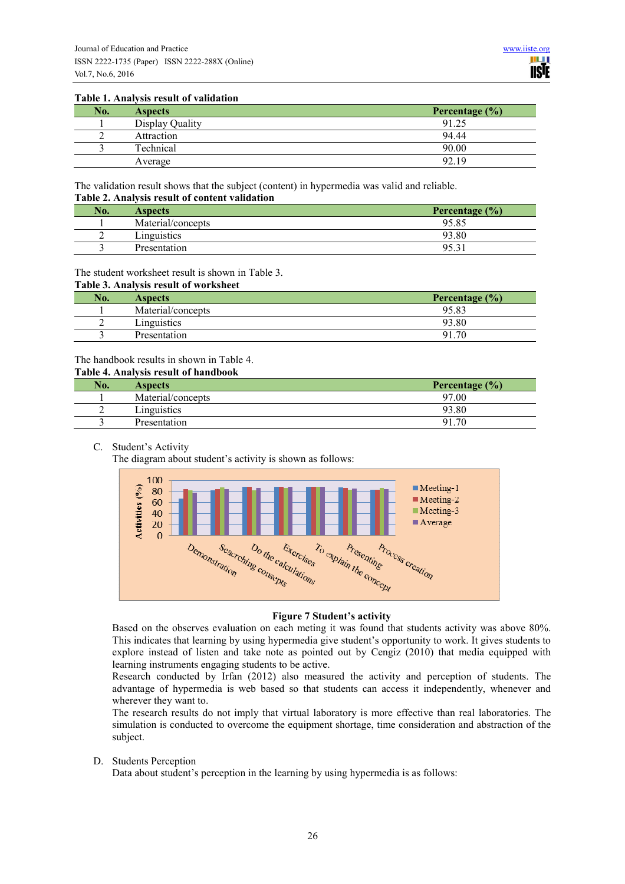#### **Table 1. Analysis result of validation**

| No. | <b>Aspects</b>  | Percentage $(\% )$ |
|-----|-----------------|--------------------|
|     | Display Quality | 91.25              |
|     | Attraction      | 94.44              |
|     | Technical       | 90.00              |
|     | Average         | 92.19              |

The validation result shows that the subject (content) in hypermedia was valid and reliable. **Table 2. Analysis result of content validation** 

| No. | <b>Aspects</b>    | Percentage $(\% )$ |
|-----|-------------------|--------------------|
|     | Material/concepts | 95.85              |
| ∸   | Linguistics       | 93.80              |
|     | Presentation      | $-95.5$            |

# The student worksheet result is shown in Table 3.

#### **Table 3. Analysis result of worksheet**

| No. | <b>Aspects</b>    | Percentage $(\% )$ |
|-----|-------------------|--------------------|
|     | Material/concepts | 95.83              |
| ∼   | Linguistics       | 93.80              |
|     | Presentation      | 91<br>70           |

## The handbook results in shown in Table 4.

### **Table 4. Analysis result of handbook**

| No. | <b>Aspects</b>    | Percentage $(\% )$ |
|-----|-------------------|--------------------|
|     | Material/concepts | 97.00              |
| ∼   | Linguistics       | 93.80              |
|     | Presentation      | 70<br>91           |

## C. Student's Activity

The diagram about student's activity is shown as follows:



#### **Figure 7 Student's activity**

Based on the observes evaluation on each meting it was found that students activity was above 80%. This indicates that learning by using hypermedia give student's opportunity to work. It gives students to explore instead of listen and take note as pointed out by Cengiz (2010) that media equipped with learning instruments engaging students to be active.

Research conducted by Irfan (2012) also measured the activity and perception of students. The advantage of hypermedia is web based so that students can access it independently, whenever and wherever they want to.

The research results do not imply that virtual laboratory is more effective than real laboratories. The simulation is conducted to overcome the equipment shortage, time consideration and abstraction of the subject.

D. Students Perception

Data about student's perception in the learning by using hypermedia is as follows: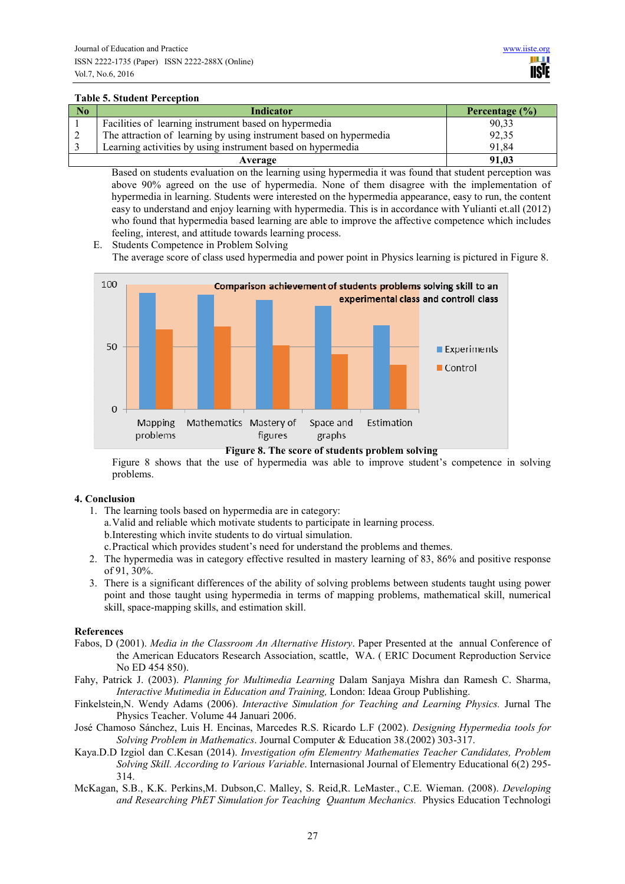## **Table 5. Student Perception**

| N <sub>0</sub> | <b>Indicator</b>                                                   | Percentage $(\% )$ |
|----------------|--------------------------------------------------------------------|--------------------|
|                | Facilities of learning instrument based on hypermedia              | 90,33              |
|                | The attraction of learning by using instrument based on hypermedia | 92,35              |
|                | Learning activities by using instrument based on hypermedia        | 91,84              |
|                | Average                                                            | 91.03              |

Based on students evaluation on the learning using hypermedia it was found that student perception was above 90% agreed on the use of hypermedia. None of them disagree with the implementation of hypermedia in learning. Students were interested on the hypermedia appearance, easy to run, the content easy to understand and enjoy learning with hypermedia. This is in accordance with Yulianti et.all (2012) who found that hypermedia based learning are able to improve the affective competence which includes feeling, interest, and attitude towards learning process.

E. Students Competence in Problem Solving The average score of class used hypermedia and power point in Physics learning is pictured in Figure 8.



Figure 8 shows that the use of hypermedia was able to improve student's competence in solving problems.

# **4. Conclusion**

- 1. The learning tools based on hypermedia are in category: a.Valid and reliable which motivate students to participate in learning process. b.Interesting which invite students to do virtual simulation. c.Practical which provides student's need for understand the problems and themes.
- 2. The hypermedia was in category effective resulted in mastery learning of 83, 86% and positive response
- of 91, 30%. 3. There is a significant differences of the ability of solving problems between students taught using power point and those taught using hypermedia in terms of mapping problems, mathematical skill, numerical skill, space-mapping skills, and estimation skill.

# **References**

- Fabos, D (2001). *Media in the Classroom An Alternative History*. Paper Presented at the annual Conference of the American Educators Research Association, scattle, WA. ( ERIC Document Reproduction Service No ED 454 850).
- Fahy, Patrick J. (2003). *Planning for Multimedia Learning* Dalam Sanjaya Mishra dan Ramesh C. Sharma, *Interactive Mutimedia in Education and Training,* London: Ideaa Group Publishing.
- Finkelstein,N. Wendy Adams (2006). *Interactive Simulation for Teaching and Learning Physics.* Jurnal The Physics Teacher. Volume 44 Januari 2006.
- José Chamoso Sánchez, Luis H. Encinas, Marcedes R.S. Ricardo L.F (2002). *Designing Hypermedia tools for Solving Problem in Mathematics*. Journal Computer & Education 38.(2002) 303-317.
- Kaya.D.D Izgiol dan C.Kesan (2014). *Investigation ofm Elementry Mathematies Teacher Candidates, Problem Solving Skill. According to Various Variable*. Internasional Journal of Elementry Educational 6(2) 295- 314.
- McKagan, S.B., K.K. Perkins,M. Dubson,C. Malley, S. Reid,R. LeMaster., C.E. Wieman. (2008). *Developing and Researching PhET Simulation for Teaching Quantum Mechanics.* Physics Education Technologi